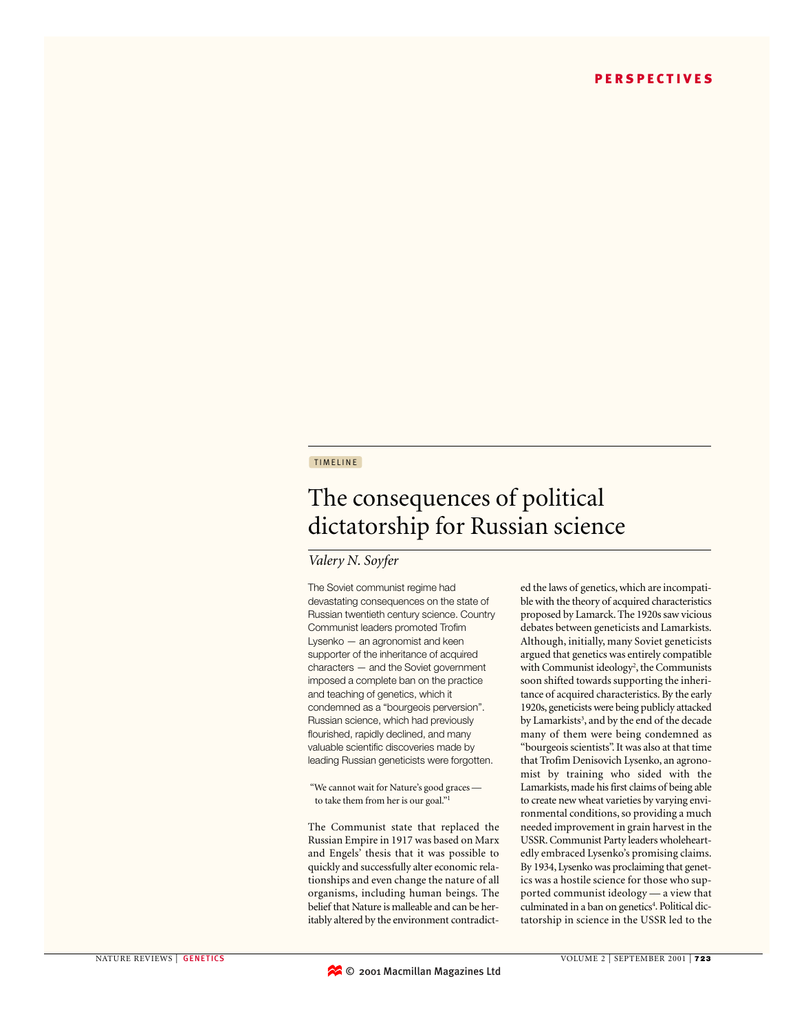## TIMELINE

# The consequences of political dictatorship for Russian science

# *Valery N. Soyfer*

The Soviet communist regime had devastating consequences on the state of Russian twentieth century science. Country Communist leaders promoted Trofim Lysenko — an agronomist and keen supporter of the inheritance of acquired characters — and the Soviet government imposed a complete ban on the practice and teaching of genetics, which it condemned as a "bourgeois perversion". Russian science, which had previously flourished, rapidly declined, and many valuable scientific discoveries made by leading Russian geneticists were forgotten.

"We cannot wait for Nature's good graces to take them from her is our goal."<sup>1</sup>

The Communist state that replaced the Russian Empire in 1917 was based on Marx and Engels' thesis that it was possible to quickly and successfully alter economic relationships and even change the nature of all organisms, including human beings. The belief that Nature is malleable and can be heritably altered by the environment contradict-

ed the laws of genetics, which are incompatible with the theory of acquired characteristics proposed by Lamarck. The 1920s saw vicious debates between geneticists and Lamarkists. Although, initially, many Soviet geneticists argued that genetics was entirely compatible with Communist ideology<sup>2</sup>, the Communists soon shifted towards supporting the inheritance of acquired characteristics. By the early 1920s, geneticists were being publicly attacked by Lamarkists<sup>3</sup>, and by the end of the decade many of them were being condemned as "bourgeois scientists". It was also at that time that Trofim Denisovich Lysenko, an agronomist by training who sided with the Lamarkists, made his first claims of being able to create new wheat varieties by varying environmental conditions, so providing a much needed improvement in grain harvest in the USSR. Communist Party leaders wholeheartedly embraced Lysenko's promising claims. By 1934, Lysenko was proclaiming that genetics was a hostile science for those who supported communist ideology — a view that culminated in a ban on genetics<sup>4</sup>. Political dictatorship in science in the USSR led to the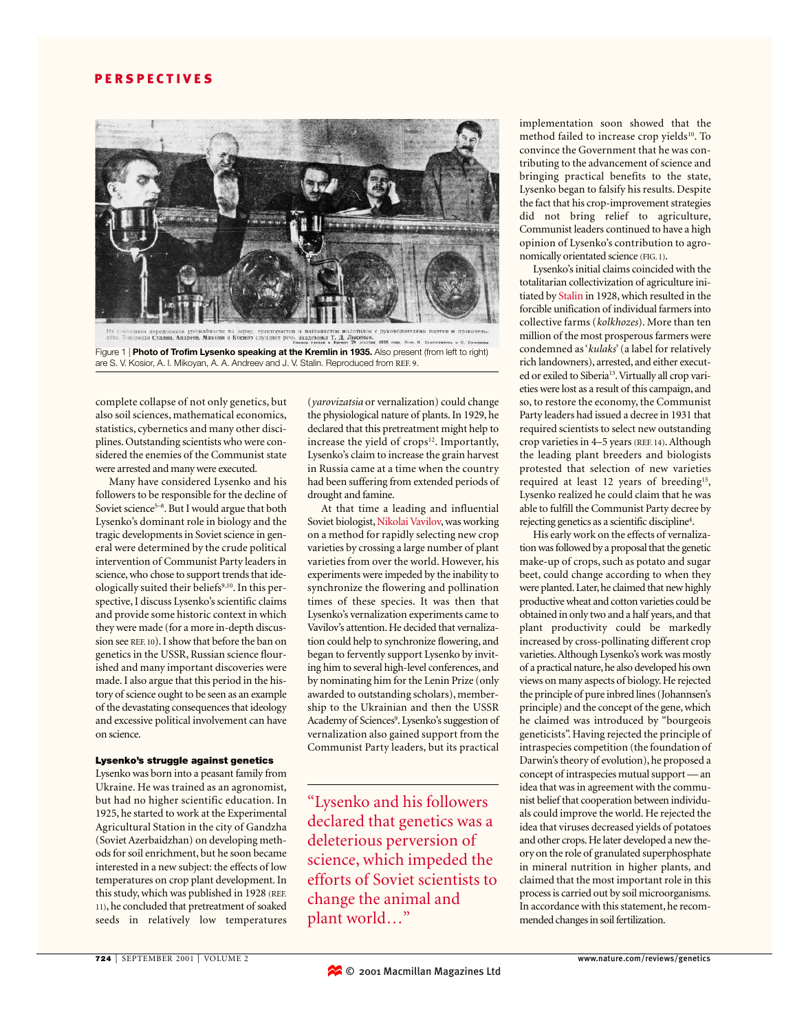

Fa consumers dependenced spokaring in the depty, the topics in manifestion is a consumer to process the topics<br>
The Transmith Cramin, Anapeer, Mekona is Kochon cay that the Kremlin in 1935. Also present (from left to right  $1935<sub>0</sub>$ are S. V. Kosior, A. I. Mikoyan, A. A. Andreev and J. V. Stalin. Reproduced from REF. 9.

complete collapse of not only genetics, but also soil sciences, mathematical economics, statistics, cybernetics and many other disciplines. Outstanding scientists who were considered the enemies of the Communist state were arrested and many were executed.

Many have considered Lysenko and his followers to be responsible for the decline of Soviet science<sup>5-8</sup>. But I would argue that both Lysenko's dominant role in biology and the tragic developments in Soviet science in general were determined by the crude political intervention of Communist Party leaders in science, who chose to support trends that ideologically suited their beliefs<sup>9,10</sup>. In this perspective, I discuss Lysenko's scientific claims and provide some historic context in which they were made (for a more in-depth discussion see REF. 10). I show that before the ban on genetics in the USSR, Russian science flourished and many important discoveries were made. I also argue that this period in the history of science ought to be seen as an example of the devastating consequences that ideology and excessive political involvement can have on science.

#### Lysenko's struggle against genetics

Lysenko was born into a peasant family from Ukraine. He was trained as an agronomist, but had no higher scientific education. In 1925, he started to work at the Experimental Agricultural Station in the city of Gandzha (Soviet Azerbaidzhan) on developing methods for soil enrichment, but he soon became interested in a new subject: the effects of low temperatures on crop plant development. In this study, which was published in 1928 (REF. 11), he concluded that pretreatment of soaked seeds in relatively low temperatures

(*yarovizatsia* or vernalization) could change the physiological nature of plants. In 1929, he declared that this pretreatment might help to increase the yield of crops<sup>12</sup>. Importantly, Lysenko's claim to increase the grain harvest in Russia came at a time when the country had been suffering from extended periods of drought and famine.

At that time a leading and influential Soviet biologist, Nikolai Vavilov, was working on a method for rapidly selecting new crop varieties by crossing a large number of plant varieties from over the world. However, his experiments were impeded by the inability to synchronize the flowering and pollination times of these species. It was then that Lysenko's vernalization experiments came to Vavilov's attention. He decided that vernalization could help to synchronize flowering, and began to fervently support Lysenko by inviting him to several high-level conferences, and by nominating him for the Lenin Prize (only awarded to outstanding scholars), membership to the Ukrainian and then the USSR Academy of Sciences<sup>9</sup>. Lysenko's suggestion of vernalization also gained support from the Communist Party leaders, but its practical

"Lysenko and his followers declared that genetics was a deleterious perversion of science, which impeded the efforts of Soviet scientists to change the animal and plant world…"

implementation soon showed that the method failed to increase crop yields<sup>10</sup>. To convince the Government that he was contributing to the advancement of science and bringing practical benefits to the state, Lysenko began to falsify his results. Despite the fact that his crop-improvement strategies did not bring relief to agriculture, Communist leaders continued to have a high opinion of Lysenko's contribution to agronomically orientated science (FIG. 1).

Lysenko's initial claims coincided with the totalitarian collectivization of agriculture initiated by Stalin in 1928, which resulted in the forcible unification of individual farmers into collective farms (*kolkhozes*). More than ten million of the most prosperous farmers were condemned as '*kulaks*' (a label for relatively rich landowners), arrested, and either executed or exiled to Siberia<sup>13</sup>. Virtually all crop varieties were lost as a result of this campaign, and so, to restore the economy, the Communist Party leaders had issued a decree in 1931 that required scientists to select new outstanding crop varieties in 4–5 years (REF. 14). Although the leading plant breeders and biologists protested that selection of new varieties required at least 12 years of breeding<sup>15</sup>, Lysenko realized he could claim that he was able to fulfill the Communist Party decree by rejecting genetics as a scientific discipline<sup>4</sup>.

His early work on the effects of vernalization was followed by a proposal that the genetic make-up of crops, such as potato and sugar beet, could change according to when they were planted. Later, he claimed that new highly productive wheat and cotton varieties could be obtained in only two and a half years, and that plant productivity could be markedly increased by cross-pollinating different crop varieties.Although Lysenko's work was mostly of a practical nature, he also developed his own views on many aspects of biology. He rejected the principle of pure inbred lines (Johannsen's principle) and the concept of the gene, which he claimed was introduced by "bourgeois geneticists". Having rejected the principle of intraspecies competition (the foundation of Darwin's theory of evolution), he proposed a concept of intraspecies mutual support — an idea that was in agreement with the communist belief that cooperation between individuals could improve the world. He rejected the idea that viruses decreased yields of potatoes and other crops. He later developed a new theory on the role of granulated superphosphate in mineral nutrition in higher plants, and claimed that the most important role in this process is carried out by soil microorganisms. In accordance with this statement, he recommended changes in soil fertilization.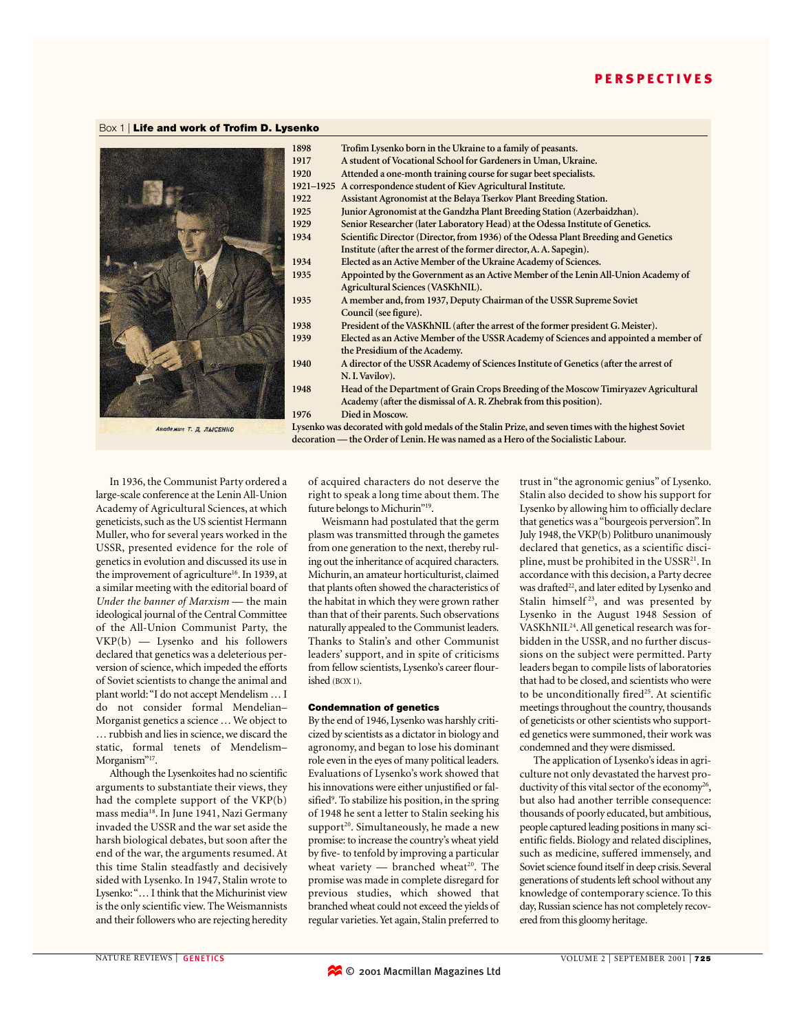## Box 1 | Life and work of Trofim D. Lysenko



| 1898                                                                                                | Trofim Lysenko born in the Ukraine to a family of peasants.                           |
|-----------------------------------------------------------------------------------------------------|---------------------------------------------------------------------------------------|
| 1917                                                                                                | A student of Vocational School for Gardeners in Uman, Ukraine.                        |
| 1920                                                                                                | Attended a one-month training course for sugar beet specialists.                      |
| 1921-1925                                                                                           | A correspondence student of Kiev Agricultural Institute.                              |
| 1922                                                                                                | Assistant Agronomist at the Belaya Tserkov Plant Breeding Station.                    |
| 1925                                                                                                | Junior Agronomist at the Gandzha Plant Breeding Station (Azerbaidzhan).               |
| 1929                                                                                                | Senior Researcher (later Laboratory Head) at the Odessa Institute of Genetics.        |
| 1934                                                                                                | Scientific Director (Director, from 1936) of the Odessa Plant Breeding and Genetics   |
|                                                                                                     | Institute (after the arrest of the former director, A. A. Sapegin).                   |
| 1934                                                                                                | Elected as an Active Member of the Ukraine Academy of Sciences.                       |
| 1935                                                                                                | Appointed by the Government as an Active Member of the Lenin All-Union Academy of     |
|                                                                                                     | Agricultural Sciences (VASKhNIL).                                                     |
| 1935                                                                                                | A member and, from 1937, Deputy Chairman of the USSR Supreme Soviet                   |
|                                                                                                     | Council (see figure).                                                                 |
| 1938                                                                                                | President of the VASKhNIL (after the arrest of the former president G. Meister).      |
| 1939                                                                                                | Elected as an Active Member of the USSR Academy of Sciences and appointed a member of |
|                                                                                                     | the Presidium of the Academy.                                                         |
| 1940                                                                                                | A director of the USSR Academy of Sciences Institute of Genetics (after the arrest of |
|                                                                                                     | N.I. Vavilov).                                                                        |
| 1948                                                                                                | Head of the Department of Grain Crops Breeding of the Moscow Timiryazev Agricultural  |
|                                                                                                     | Academy (after the dismissal of A. R. Zhebrak from this position).                    |
| 1976                                                                                                | Died in Moscow.                                                                       |
| Lysenko was decorated with gold medals of the Stalin Prize, and seven times with the highest Soviet |                                                                                       |
| decoration — the Order of Lenin. He was named as a Hero of the Socialistic Labour.                  |                                                                                       |

Академик Т. Д. ЛЫСЕНКО

In 1936, the Communist Party ordered a large-scale conference at the Lenin All-Union Academy of Agricultural Sciences, at which geneticists, such as the US scientist Hermann Muller, who for several years worked in the USSR, presented evidence for the role of genetics in evolution and discussed its use in the improvement of agriculture<sup>16</sup>. In 1939, at a similar meeting with the editorial board of *Under the banner of Marxism* — the main ideological journal of the Central Committee of the All-Union Communist Party, the VKP(b) — Lysenko and his followers declared that genetics was a deleterious perversion of science, which impeded the efforts of Soviet scientists to change the animal and plant world:"I do not accept Mendelism … I do not consider formal Mendelian– Morganist genetics a science … We object to … rubbish and lies in science, we discard the static, formal tenets of Mendelism– Morganism"<sup>17</sup>.

Although the Lysenkoites had no scientific arguments to substantiate their views, they had the complete support of the VKP(b) mass media<sup>18</sup>. In June 1941, Nazi Germany invaded the USSR and the war set aside the harsh biological debates, but soon after the end of the war, the arguments resumed. At this time Stalin steadfastly and decisively sided with Lysenko. In 1947, Stalin wrote to Lysenko:"… I think that the Michurinist view is the only scientific view. The Weismannists and their followers who are rejecting heredity of acquired characters do not deserve the right to speak a long time about them. The future belongs to Michurin"<sup>19</sup>.

Weismann had postulated that the germ plasm was transmitted through the gametes from one generation to the next, thereby ruling out the inheritance of acquired characters. Michurin, an amateur horticulturist, claimed that plants often showed the characteristics of the habitat in which they were grown rather than that of their parents. Such observations naturally appealed to the Communist leaders. Thanks to Stalin's and other Communist leaders' support, and in spite of criticisms from fellow scientists, Lysenko's career flourished (BOX 1).

#### Condemnation of genetics

By the end of 1946, Lysenko was harshly criticized by scientists as a dictator in biology and agronomy, and began to lose his dominant role even in the eyes of many political leaders. Evaluations of Lysenko's work showed that his innovations were either unjustified or falsified<sup>9</sup>. To stabilize his position, in the spring of 1948 he sent a letter to Stalin seeking his support<sup>20</sup>. Simultaneously, he made a new promise: to increase the country's wheat yield by five- to tenfold by improving a particular wheat variety  $-$  branched wheat<sup>20</sup>. The promise was made in complete disregard for previous studies, which showed that branched wheat could not exceed the yields of regular varieties.Yet again, Stalin preferred to

trust in "the agronomic genius" of Lysenko. Stalin also decided to show his support for Lysenko by allowing him to officially declare that genetics was a "bourgeois perversion". In July 1948, the VKP(b) Politburo unanimously declared that genetics, as a scientific discipline, must be prohibited in the USSR<sup>21</sup>. In accordance with this decision, a Party decree was drafted<sup>22</sup>, and later edited by Lysenko and Stalin himself<sup>23</sup>, and was presented by Lysenko in the August 1948 Session of VASKhNIL24. All genetical research was forbidden in the USSR, and no further discussions on the subject were permitted. Party leaders began to compile lists of laboratories that had to be closed, and scientists who were to be unconditionally fired<sup>25</sup>. At scientific meetings throughout the country, thousands of geneticists or other scientists who supported genetics were summoned, their work was condemned and they were dismissed.

The application of Lysenko's ideas in agriculture not only devastated the harvest productivity of this vital sector of the economy<sup>26</sup>, but also had another terrible consequence: thousands of poorly educated, but ambitious, people captured leading positions in many scientific fields. Biology and related disciplines, such as medicine, suffered immensely, and Soviet science found itself in deep crisis. Several generations of students left school without any knowledge of contemporary science. To this day, Russian science has not completely recovered from this gloomy heritage.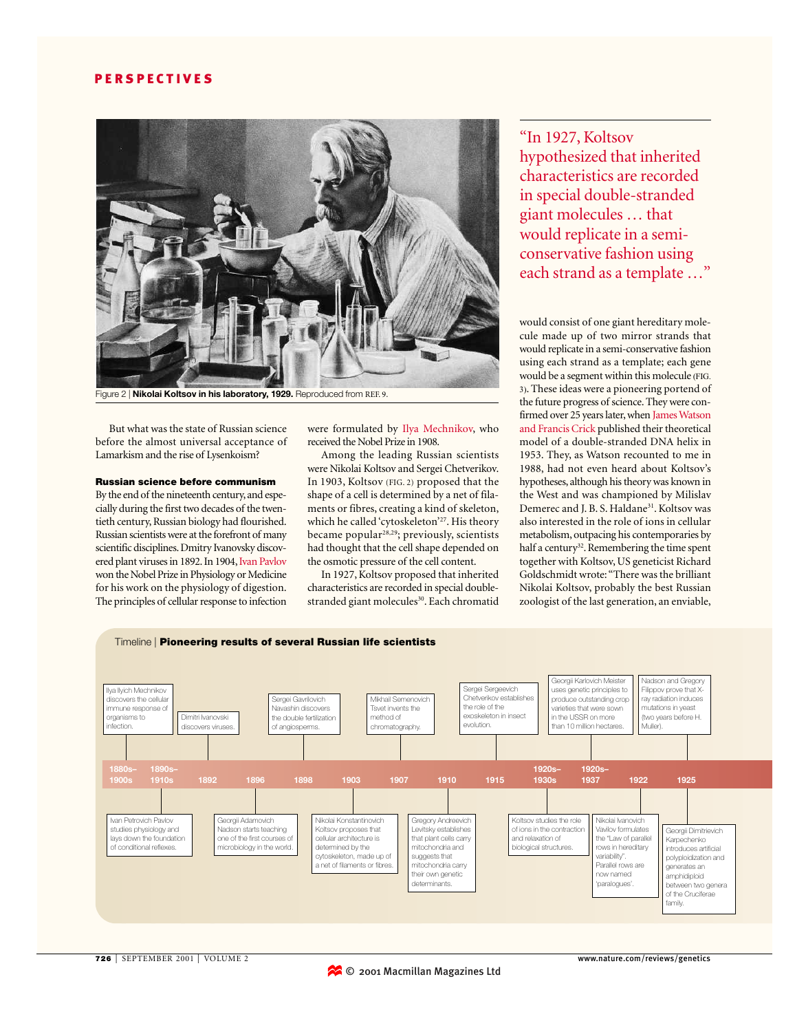

But what was the state of Russian science before the almost universal acceptance of Lamarkism and the rise of Lysenkoism?

## Russian science before communism

By the end of the nineteenth century, and especially during the first two decades of the twentieth century, Russian biology had flourished. Russian scientists were at the forefront of many scientific disciplines. Dmitry Ivanovsky discovered plant viruses in 1892. In 1904, Ivan Pavlov won the Nobel Prize in Physiology or Medicine for his work on the physiology of digestion. The principles of cellular response to infection

were formulated by Ilya Mechnikov, who received the Nobel Prize in 1908.

Among the leading Russian scientists were Nikolai Koltsov and Sergei Chetverikov. In 1903, Koltsov (FIG. 2) proposed that the shape of a cell is determined by a net of filaments or fibres, creating a kind of skeleton, which he called 'cytoskeleton'<sup>27</sup>. His theory became popular<sup>28,29</sup>; previously, scientists had thought that the cell shape depended on the osmotic pressure of the cell content.

In 1927, Koltsov proposed that inherited characteristics are recorded in special doublestranded giant molecules<sup>30</sup>. Each chromatid

"In 1927, Koltsov hypothesized that inherited characteristics are recorded in special double-stranded giant molecules … that would replicate in a semiconservative fashion using each strand as a template …"

would consist of one giant hereditary molecule made up of two mirror strands that would replicate in a semi-conservative fashion using each strand as a template; each gene would be a segment within this molecule (FIG. 3). These ideas were a pioneering portend of the future progress of science. They were confirmed over 25 years later, when James Watson and Francis Crick published their theoretical model of a double-stranded DNA helix in 1953. They, as Watson recounted to me in 1988, had not even heard about Koltsov's hypotheses, although his theory was known in the West and was championed by Milislav Demerec and J. B. S. Haldane<sup>31</sup>. Koltsov was also interested in the role of ions in cellular metabolism, outpacing his contemporaries by half a century<sup>32</sup>. Remembering the time spent together with Koltsov, US geneticist Richard Goldschmidt wrote:"There was the brilliant Nikolai Koltsov, probably the best Russian zoologist of the last generation, an enviable,

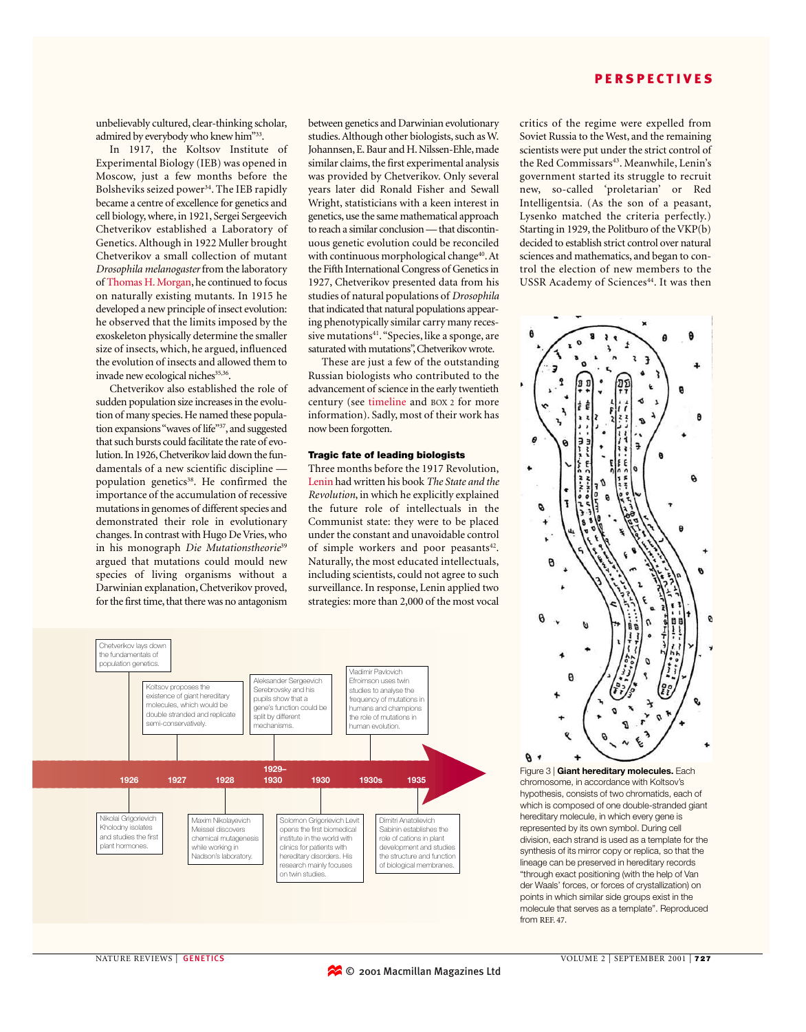unbelievably cultured, clear-thinking scholar, admired by everybody who knew him"33.

In 1917, the Koltsov Institute of Experimental Biology (IEB) was opened in Moscow, just a few months before the Bolsheviks seized power<sup>34</sup>. The IEB rapidly became a centre of excellence for genetics and cell biology, where, in 1921, Sergei Sergeevich Chetverikov established a Laboratory of Genetics. Although in 1922 Muller brought Chetverikov a small collection of mutant *Drosophila melanogaster* from the laboratory of Thomas H. Morgan, he continued to focus on naturally existing mutants. In 1915 he developed a new principle of insect evolution: he observed that the limits imposed by the exoskeleton physically determine the smaller size of insects, which, he argued, influenced the evolution of insects and allowed them to invade new ecological niches<sup>35,36</sup>.

Chetverikov also established the role of sudden population size increases in the evolution of many species. He named these population expansions "waves of life"<sup>37</sup>, and suggested that such bursts could facilitate the rate of evolution. In 1926, Chetverikov laid down the fundamentals of a new scientific discipline population genetics<sup>38</sup>. He confirmed the importance of the accumulation of recessive mutations in genomes of different species and demonstrated their role in evolutionary changes. In contrast with Hugo De Vries, who in his monograph *Die Mutationstheorie*<sup>39</sup> argued that mutations could mould new species of living organisms without a Darwinian explanation, Chetverikov proved, for the first time, that there was no antagonism between genetics and Darwinian evolutionary studies. Although other biologists, such as W. Johannsen, E. Baur and H. Nilssen-Ehle, made similar claims, the first experimental analysis was provided by Chetverikov. Only several years later did Ronald Fisher and Sewall Wright, statisticians with a keen interest in genetics, use the same mathematical approach to reach a similar conclusion — that discontinuous genetic evolution could be reconciled with continuous morphological change<sup>40</sup>. At the Fifth International Congress of Genetics in 1927, Chetverikov presented data from his studies of natural populations of *Drosophila* that indicated that natural populations appearing phenotypically similar carry many recessive mutations<sup>41</sup>. "Species, like a sponge, are saturated with mutations", Chetverikov wrote.

These are just a few of the outstanding Russian biologists who contributed to the advancement of science in the early twentieth century (see timeline and BOX 2 for more information). Sadly, most of their work has now been forgotten.

## Tragic fate of leading biologists

Three months before the 1917 Revolution, Lenin had written his book *The State and the Revolution*, in which he explicitly explained the future role of intellectuals in the Communist state: they were to be placed under the constant and unavoidable control of simple workers and poor peasants<sup>42</sup>. Naturally, the most educated intellectuals, including scientists, could not agree to such surveillance. In response, Lenin applied two strategies: more than 2,000 of the most vocal



critics of the regime were expelled from Soviet Russia to the West, and the remaining scientists were put under the strict control of the Red Commissars<sup>43</sup>. Meanwhile, Lenin's government started its struggle to recruit new, so-called 'proletarian' or Red Intelligentsia. (As the son of a peasant, Lysenko matched the criteria perfectly.) Starting in 1929, the Politburo of the VKP(b) decided to establish strict control over natural sciences and mathematics, and began to control the election of new members to the USSR Academy of Sciences<sup>44</sup>. It was then



Figure 3 | **Giant hereditary molecules.** Each chromosome, in accordance with Koltsov's hypothesis, consists of two chromatids, each of which is composed of one double-stranded giant hereditary molecule, in which every gene is represented by its own symbol. During cell division, each strand is used as a template for the synthesis of its mirror copy or replica, so that the lineage can be preserved in hereditary records "through exact positioning (with the help of Van der Waals' forces, or forces of crystallization) on points in which similar side groups exist in the molecule that serves as a template". Reproduced from REF. 47.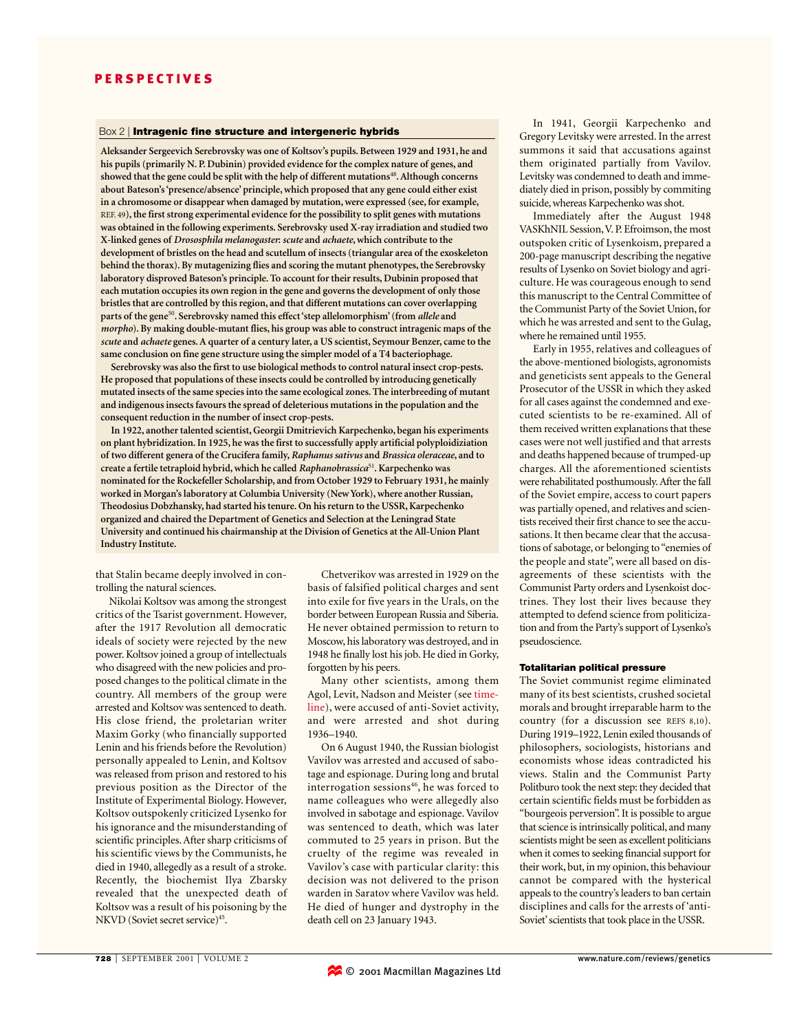#### Box 2 | Intragenic fine structure and intergeneric hybrids

**Aleksander Sergeevich Serebrovsky was one of Koltsov's pupils. Between 1929 and 1931, he and his pupils (primarily N. P. Dubinin) provided evidence for the complex nature of genes, and showed that the gene could be split with the help of different mutations**<sup>48</sup>**. Although concerns about Bateson's 'presence/absence' principle, which proposed that any gene could either exist in a chromosome or disappear when damaged by mutation, were expressed (see, for example,** REF. 49**), the first strong experimental evidence for the possibility to split genes with mutations was obtained in the following experiments. Serebrovsky used X-ray irradiation and studied two X-linked genes of** *Drososphila melanogaster***:** *scute* **and** *achaete***, which contribute to the development of bristles on the head and scutellum of insects (triangular area of the exoskeleton behind the thorax). By mutagenizing flies and scoring the mutant phenotypes, the Serebrovsky laboratory disproved Bateson's principle. To account for their results, Dubinin proposed that each mutation occupies its own region in the gene and governs the development of only those bristles that are controlled by this region, and that different mutations can cover overlapping parts of the gene**<sup>50</sup>**. Serebrovsky named this effect 'step allelomorphism' (from** *allele* **and** *morpho***). By making double-mutant flies, his group was able to construct intragenic maps of the** *scute* **and** *achaete* **genes. A quarter of a century later, a US scientist, Seymour Benzer, came to the same conclusion on fine gene structure using the simpler model of a T4 bacteriophage.**

**Serebrovsky was also the first to use biological methods to control natural insect crop-pests. He proposed that populations of these insects could be controlled by introducing genetically mutated insects of the same species into the same ecological zones. The interbreeding of mutant and indigenous insects favours the spread of deleterious mutations in the population and the consequent reduction in the number of insect crop-pests.**

**In 1922, another talented scientist, Georgii Dmitrievich Karpechenko, began his experiments on plant hybridization. In 1925, he was the first to successfully apply artificial polyploidiziation of two different genera of the Crucifera family,** *Raphanus sativus* **and** *Brassica oleraceae***, and to create a fertile tetraploid hybrid, which he called** *Raphanobrassica*<sup>51</sup>**. Karpechenko was nominated for the Rockefeller Scholarship, and from October 1929 to February 1931, he mainly worked in Morgan's laboratory at Columbia University (New York), where another Russian, Theodosius Dobzhansky, had started his tenure. On his return to the USSR, Karpechenko organized and chaired the Department of Genetics and Selection at the Leningrad State University and continued his chairmanship at the Division of Genetics at the All-Union Plant Industry Institute.**

that Stalin became deeply involved in controlling the natural sciences.

Nikolai Koltsov was among the strongest critics of the Tsarist government. However, after the 1917 Revolution all democratic ideals of society were rejected by the new power. Koltsov joined a group of intellectuals who disagreed with the new policies and proposed changes to the political climate in the country. All members of the group were arrested and Koltsov was sentenced to death. His close friend, the proletarian writer Maxim Gorky (who financially supported Lenin and his friends before the Revolution) personally appealed to Lenin, and Koltsov was released from prison and restored to his previous position as the Director of the Institute of Experimental Biology. However, Koltsov outspokenly criticized Lysenko for his ignorance and the misunderstanding of scientific principles. After sharp criticisms of his scientific views by the Communists, he died in 1940, allegedly as a result of a stroke. Recently, the biochemist Ilya Zbarsky revealed that the unexpected death of Koltsov was a result of his poisoning by the NKVD (Soviet secret service)<sup>45</sup>.

Chetverikov was arrested in 1929 on the basis of falsified political charges and sent into exile for five years in the Urals, on the border between European Russia and Siberia. He never obtained permission to return to Moscow, his laboratory was destroyed, and in 1948 he finally lost his job. He died in Gorky, forgotten by his peers.

Many other scientists, among them Agol, Levit, Nadson and Meister (see timeline), were accused of anti-Soviet activity, and were arrested and shot during 1936–1940.

On 6 August 1940, the Russian biologist Vavilov was arrested and accused of sabotage and espionage. During long and brutal interrogation sessions<sup>46</sup>, he was forced to name colleagues who were allegedly also involved in sabotage and espionage. Vavilov was sentenced to death, which was later commuted to 25 years in prison. But the cruelty of the regime was revealed in Vavilov's case with particular clarity: this decision was not delivered to the prison warden in Saratov where Vavilov was held. He died of hunger and dystrophy in the death cell on 23 January 1943.

In 1941, Georgii Karpechenko and Gregory Levitsky were arrested. In the arrest summons it said that accusations against them originated partially from Vavilov. Levitsky was condemned to death and immediately died in prison, possibly by commiting suicide, whereas Karpechenko was shot.

Immediately after the August 1948 VASKhNIL Session,V. P. Efroimson, the most outspoken critic of Lysenkoism, prepared a 200-page manuscript describing the negative results of Lysenko on Soviet biology and agriculture. He was courageous enough to send this manuscript to the Central Committee of the Communist Party of the Soviet Union, for which he was arrested and sent to the Gulag, where he remained until 1955.

Early in 1955, relatives and colleagues of the above-mentioned biologists, agronomists and geneticists sent appeals to the General Prosecutor of the USSR in which they asked for all cases against the condemned and executed scientists to be re-examined. All of them received written explanations that these cases were not well justified and that arrests and deaths happened because of trumped-up charges. All the aforementioned scientists were rehabilitated posthumously. After the fall of the Soviet empire, access to court papers was partially opened, and relatives and scientists received their first chance to see the accusations. It then became clear that the accusations of sabotage, or belonging to "enemies of the people and state", were all based on disagreements of these scientists with the Communist Party orders and Lysenkoist doctrines. They lost their lives because they attempted to defend science from politicization and from the Party's support of Lysenko's pseudoscience.

## Totalitarian political pressure

The Soviet communist regime eliminated many of its best scientists, crushed societal morals and brought irreparable harm to the country (for a discussion see REFS 8,10). During 1919–1922, Lenin exiled thousands of philosophers, sociologists, historians and economists whose ideas contradicted his views. Stalin and the Communist Party Politburo took the next step: they decided that certain scientific fields must be forbidden as "bourgeois perversion". It is possible to argue that science is intrinsically political, and many scientists might be seen as excellent politicians when it comes to seeking financial support for their work, but, in my opinion, this behaviour cannot be compared with the hysterical appeals to the country's leaders to ban certain disciplines and calls for the arrests of 'anti-Soviet' scientists that took place in the USSR.